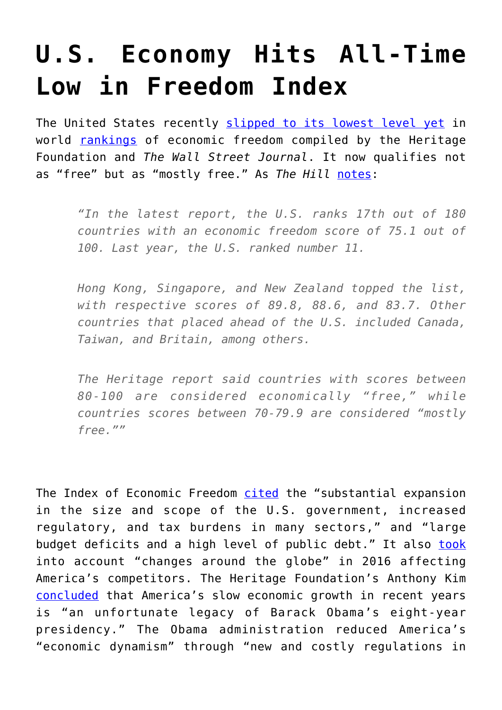## **[U.S. Economy Hits All-Time](https://intellectualtakeout.org/2017/02/u-s-economy-hits-all-time-low-in-freedom-index/) [Low in Freedom Index](https://intellectualtakeout.org/2017/02/u-s-economy-hits-all-time-low-in-freedom-index/)**

The United States recently [slipped to its lowest level yet](http://thehill.com/policy/international/319556-us-falls-in-economic-freedom-index) in world [rankings](http://www.heritage.org/index/) of economic freedom compiled by the Heritage Foundation and *The Wall Street Journal*. It now qualifies not as "free" but as "mostly free." As *The Hill* [notes:](http://thehill.com/policy/international/319556-us-falls-in-economic-freedom-index)

*"In the latest report, the U.S. ranks 17th out of 180 countries with an economic freedom score of 75.1 out of 100. Last year, the U.S. ranked number 11.*

*Hong Kong, Singapore, and New Zealand topped the list, with respective scores of 89.8, 88.6, and 83.7. Other countries that placed ahead of the U.S. included Canada, Taiwan, and Britain, among others.*

*The Heritage report said countries with scores between 80-100 are considered economically "free," while countries scores between 70-79.9 are considered "mostly free.""*

The Index of Economic Freedom [cited](http://www.heritage.org/index/) the "substantial expansion in the size and scope of the U.S. government, increased regulatory, and tax burdens in many sectors," and "large budget deficits and a high level of public debt." It also [took](http://thf_media.s3.amazonaws.com/2017/2017_IndexOfEconomicFreedom.pdf) into account "changes around the globe" in 2016 affecting America's competitors. The Heritage Foundation's Anthony Kim [concluded](http://www.cnsnews.com/commentary/anthony-b-kim/economic-freedom-score-hits-historic-low-millions-locked-out-labor-market) that America's slow economic growth in recent years is "an unfortunate legacy of Barack Obama's eight-year presidency." The Obama administration reduced America's "economic dynamism" through "new and costly regulations in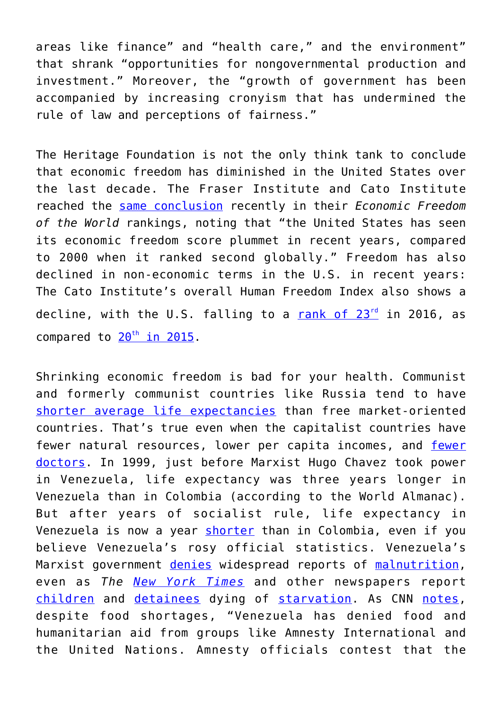areas like finance" and "health care," and the environment" that shrank "opportunities for nongovernmental production and investment." Moreover, the "growth of government has been accompanied by increasing cronyism that has undermined the rule of law and perceptions of fairness."

The Heritage Foundation is not the only think tank to conclude that economic freedom has diminished in the United States over the last decade. The Fraser Institute and Cato Institute reached the [same conclusion](https://www.cato.org/economic-freedom-world) recently in their *Economic Freedom of the World* rankings, noting that "the United States has seen its economic freedom score plummet in recent years, compared to 2000 when it ranked second globally." Freedom has also declined in non-economic terms in the U.S. in recent years: The Cato Institute's overall Human Freedom Index also shows a decline, with the U.S. falling to a rank of  $23<sup>rd</sup>$  $23<sup>rd</sup>$  $23<sup>rd</sup>$  in 2016, as compared to  $20^{th}$  $20^{th}$  $20^{th}$  in  $2015$ .

Shrinking economic freedom is bad for your health. Communist and formerly communist countries like Russia tend to have [shorter average life expectancies](https://cei.org/blog/economic-freedom-declines-again-government-control-bad-your-health) than free market-oriented countries. That's true even when the capitalist countries have [fewer](https://cei.org/blog/hans-rosling-antidote-pessimism-dies-68) natural resources, lower per capita incomes, and fewer [doctors](https://cei.org/blog/hans-rosling-antidote-pessimism-dies-68). In 1999, just before Marxist Hugo Chavez took power in Venezuela, life expectancy was three years longer in Venezuela than in Colombia (according to the World Almanac). But after years of socialist rule, life expectancy in Venezuela is now a year [shorter](http://www.worldlifeexpectancy.com/venezuela-life-expectancy) than in Colombia, even if you believe Venezuela's rosy official statistics. Venezuela's Marxist government [denies](http://venezuelatoday.net/venezuelas-u-n-representative-denies-economic-crisis-amidst-starvation-in-his-country/) widespread reports of [malnutrition,](http://www.inquisitr.com/3517032/children-are-starving-to-death-in-socialist-venezuela/) even as *The [New York Times](https://www.nytimes.com/2016/12/25/world/americas/venezuela-hunger.html?_r=0)* and other newspapers report [children](https://www.nytimes.com/2016/12/25/world/americas/venezuela-hunger.html?_r=0) and [detainees](http://www.dailymail.co.uk/news/article-3830672/Prisoners-starving-death-Venezuela-s-jails-country-s-economic-collapse-sees-food-medicine-run-out.html) dying of [starvation](https://www.nytimes.com/2016/12/25/world/americas/venezuela-hunger.html?_r=0). As CNN [notes,](http://money.cnn.com/2016/08/11/news/economy/venezuela-food-shortages/) despite food shortages, "Venezuela has denied food and humanitarian aid from groups like Amnesty International and the United Nations. Amnesty officials contest that the